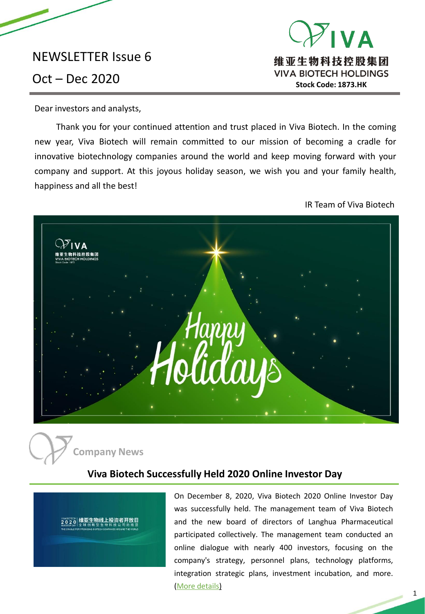# NEWSLETTER Issue 6

# **VA** 维亚生物科技控股集团 Oct – Dec 2020 **Stock Code: 1873.HK**

Dear investors and analysts,

Thank you for your continued attention and trust placed in Viva Biotech. In the coming new year, Viva Biotech will remain committed to our mission of becoming a cradle for innovative biotechnology companies around the world and keep moving forward with your company and support. At this joyous holiday season, we wish you and your family health, happiness and all the best!

IR Team of Viva Biotech





## **Viva Biotech Successfully Held 2020 Online Investor Day**



On December 8, 2020, Viva Biotech 2020 Online Investor Day was successfully held. The management team of Viva Biotech and the new board of directors of Langhua Pharmaceutical participated collectively. The management team conducted an online dialogue with nearly 400 investors, focusing on the company's strategy, personnel plans, technology platforms, integration strategic plans, investment incubation, and more. (More [details\)](https://mp.weixin.qq.com/s?__biz=MzI1NDM3MzgxMw==&mid=2247485888&idx=1&sn=57316a44590f35020be22459e0a699f6&chksm=e9c7731adeb0fa0c6921c60a8c8624f2adadbb94e76157402fad44588d6a70069045f66c0c83&mpshare=1&scene=1&srcid=1222BZtDYQrjKfW0nQMCxJHo&sharer_sharetime=1608611299516&sharer_shareid=76eb168c6d28dceff9080759eb8d92f5&key=ad515045ee1df0436953d2f79786f4d04175e6d6e7878c2c7f9fc4968c3bf79580e4b4fe2b3832735b88244db8096d0f2addac0e65560be053aee92a1040666e25f8906ac6feaff6528d944ce1bad541deb7fb48c95a592d8699a6a8523ac9c92cc68ed60fd9e63806c98232414f356a646c05a2d0a6aa87010052e8e7b295d3&ascene=1&uin=MTU5ODg0OTAyMA%3D%3D&devicetype=Windows+10+x64&version=6209007b&lang=en&exportkey=AZbfvDK74CYBOopShucdYAY%3D&pass_ticket=GYHjs/gQ1bZXpQINiY6P7gbAc0ktThf5MuYTOemWjudmhKkVTKx5n/Kh2PhJb8n2&wx_header=0)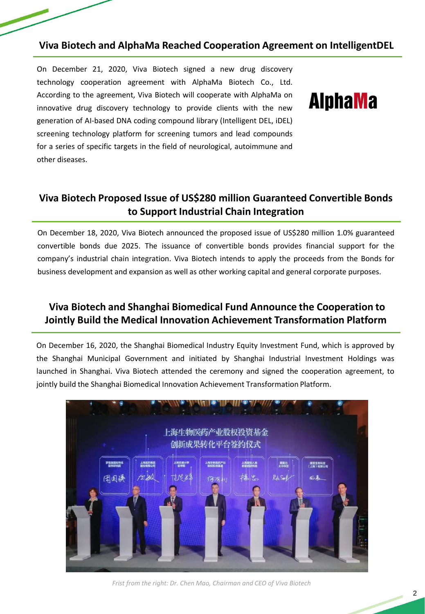### **Viva Biotech and AlphaMa Reached Cooperation Agreement on IntelligentDEL**

On December 21, 2020, Viva Biotech signed a new drug discovery technology cooperation agreement with AlphaMa Biotech Co., Ltd. According to the agreement, Viva Biotech will cooperate with AlphaMa on innovative drug discovery technology to provide clients with the new generation of AI-based DNA coding compound library (Intelligent DEL, iDEL) screening technology platform for screening tumors and lead compounds for a series of specific targets in the field of neurological, autoimmune and other diseases.

# **AlphaMa**

# **Viva Biotech Proposed Issue of US\$280 million Guaranteed Convertible Bonds to Support Industrial Chain Integration**

On December 18, 2020, Viva Biotech announced the proposed issue of US\$280 million 1.0% guaranteed convertible bonds due 2025. The issuance of convertible bonds provides financial support for the company's industrial chain integration. Viva Biotech intends to apply the proceeds from the Bonds for business development and expansion as well as other working capital and general corporate purposes.

# **Viva Biotech and Shanghai Biomedical Fund Announce the Cooperation to Jointly Build the Medical Innovation Achievement Transformation Platform**

On December 16, 2020, the Shanghai Biomedical Industry Equity Investment Fund, which is approved by the Shanghai Municipal Government and initiated by Shanghai Industrial Investment Holdings was launched in Shanghai. Viva Biotech attended the ceremony and signed the cooperation agreement, to jointly build the Shanghai Biomedical Innovation Achievement Transformation Platform.



*Frist from the right: Dr. Chen Mao, Chairman and CEO of Viva Biotech*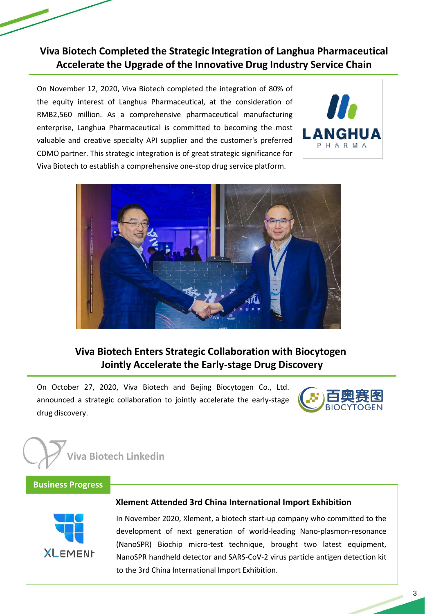**Viva Biotech Completed the Strategic Integration of Langhua Pharmaceutical Accelerate the Upgrade of the Innovative Drug Industry Service Chain**

On November 12, 2020, Viva Biotech completed the integration of 80% of the equity interest of Langhua Pharmaceutical, at the consideration of RMB2,560 million. As a comprehensive pharmaceutical manufacturing enterprise, Langhua Pharmaceutical is committed to becoming the most valuable and creative specialty API supplier and the customer's preferred CDMO partner. This strategic integration is of great strategic significance for Viva Biotech to establish a comprehensive one-stop drug service platform.





# **Viva Biotech Enters Strategic Collaboration with Biocytogen Jointly Accelerate the Early-stage Drug Discovery**

On October 27, 2020, Viva Biotech and Bejing Biocytogen Co., Ltd. announced a strategic collaboration to jointly accelerate the early-stage drug discovery.





#### **Business Progress**



#### **Xlement Attended 3rd China International Import Exhibition**

In November 2020, Xlement, a biotech start-up company who committed to the development of next generation of world-leading Nano-plasmon-resonance (NanoSPR) Biochip micro-test technique, brought two latest equipment, NanoSPR handheld detector and SARS-CoV-2 virus particle antigen detection kit to the 3rd China International Import Exhibition.